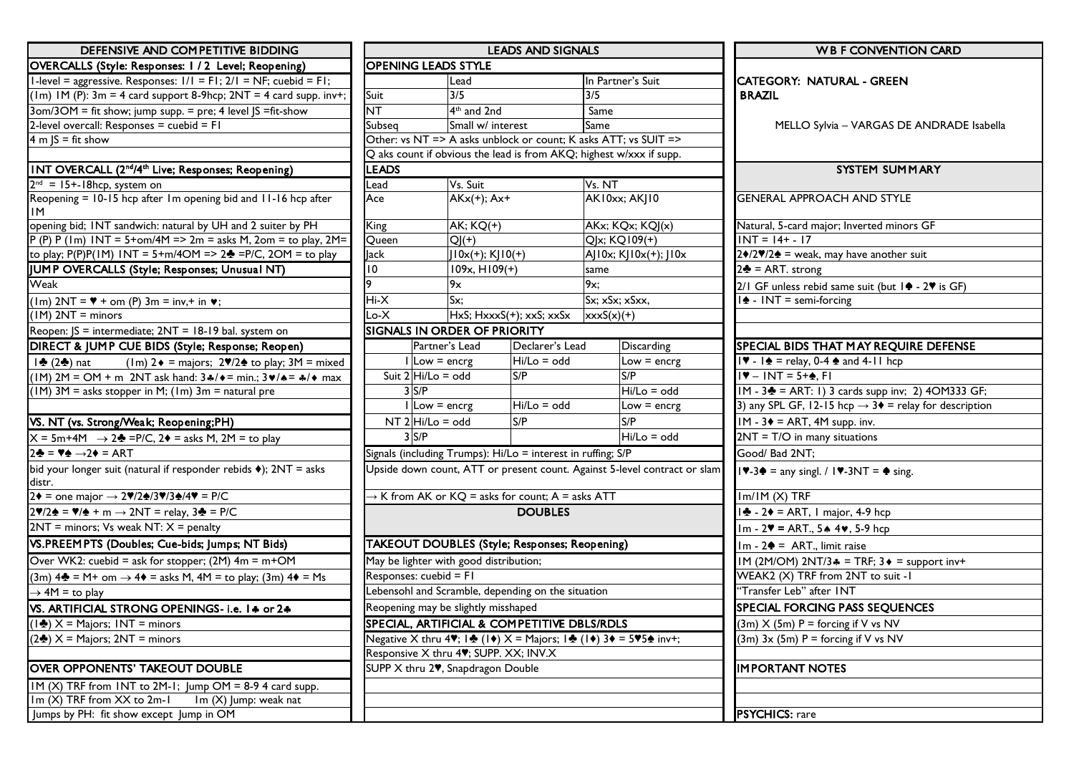| DEFENSIVE AND COMPETITIVE BIDDING                                                                           | <b>LEADS AND SIGNALS</b>                                        |                                                    |                                                                     |                                                       | <b>WB F CONVENTION CARD</b>                                               |                                                                            |  |
|-------------------------------------------------------------------------------------------------------------|-----------------------------------------------------------------|----------------------------------------------------|---------------------------------------------------------------------|-------------------------------------------------------|---------------------------------------------------------------------------|----------------------------------------------------------------------------|--|
| OVERCALLS (Style: Responses: 1 / 2 Level; Reopening)                                                        | <b>OPENING LEADS STYLE</b>                                      |                                                    |                                                                     |                                                       |                                                                           |                                                                            |  |
| I-level = aggressive. Responses: $1/1 = F1$ ; $2/1 = NF$ ; cuebid = FI;                                     | Lead                                                            |                                                    |                                                                     | In Partner's Suit                                     |                                                                           | <b>CATEGORY: NATURAL - GREEN</b>                                           |  |
| (1m) IM (P): $3m = 4$ card support 8-9hcp; $2NT = 4$ card supp. inv+;                                       | Suit                                                            | 3/5                                                | 3/5                                                                 |                                                       |                                                                           | <b>BRAZIL</b>                                                              |  |
| 3om/3OM = fit show; jump supp. = pre; 4 level JS = fit-show                                                 | NT                                                              |                                                    | 4 <sup>th</sup> and 2nd                                             |                                                       |                                                                           |                                                                            |  |
| 2-level overcall: Responses = cuebid = $FI$                                                                 | Small w/ interest<br>Subseq                                     |                                                    | Same                                                                |                                                       |                                                                           | MELLO Sylvia - VARGAS DE ANDRADE Isabella                                  |  |
| 4 m $JS = fit$ show                                                                                         | Other: vs NT => A asks unblock or count; K asks ATT; vs SUIT => |                                                    |                                                                     |                                                       |                                                                           |                                                                            |  |
|                                                                                                             |                                                                 |                                                    | Q aks count if obvious the lead is from AKQ; highest w/xxx if supp. |                                                       |                                                                           |                                                                            |  |
| INT OVERCALL (2 <sup>nd</sup> /4 <sup>th</sup> Live; Responses; Reopening)                                  | <b>LEADS</b>                                                    |                                                    |                                                                     |                                                       |                                                                           | SYSTEM SUMMARY                                                             |  |
| $2nd = 15+18$ hcp, system on                                                                                | Vs. Suit<br>_ead                                                |                                                    |                                                                     | Vs. NT                                                |                                                                           |                                                                            |  |
| Reopening = 10-15 hcp after 1m opening bid and 11-16 hcp after<br>ΙM                                        | $AKx(+); Ax+$<br>Ace                                            |                                                    |                                                                     | AK10xx; AK10                                          |                                                                           | <b>GENERAL APPROACH AND STYLE</b>                                          |  |
| opening bid; INT sandwich: natural by UH and 2 suiter by PH                                                 | <b>King</b>                                                     | <b>AK; KQ(+)</b>                                   |                                                                     | AKx; KQx; KQJ(x)                                      |                                                                           | Natural, 5-card major; Inverted minors GF                                  |  |
| $P(P) P (Im) INT = 5+om/4M => 2m = asks M, 2om = to play, 2M=$                                              | Queen                                                           | $Q (+)$                                            |                                                                     | QJx; KQ109(+)                                         |                                                                           | $INT = 14 + - 17$                                                          |  |
| to play; $P(P)P(1M)$ $1NT = 5+m/4OM = > 2$ = $P/C$ , $2OM =$ to play                                        | Jack                                                            | $10x(+); K10(+)$                                   |                                                                     | AJ10x; KJ10x(+); J10x                                 |                                                                           | $2\blacklozenge/2\blacklozenge$ = weak, may have another suit              |  |
| JUMP OVERCALLS (Style; Responses; Unusual NT)                                                               | 10                                                              | $109x, H109(+)$                                    |                                                                     | same                                                  |                                                                           | $2\clubsuit$ = ART. strong                                                 |  |
| Weak                                                                                                        |                                                                 | 9x                                                 |                                                                     | 9x;                                                   |                                                                           | $2/1$ GF unless rebid same suit (but $1 + 2$ is GF)                        |  |
| $(lm)$ 2NT = $\blacktriangledown$ + om (P) 3m = inv, + in $\blacktriangledown$ ;                            | Hi-X                                                            | Sx:                                                |                                                                     | Sx; xSx; xSxx,                                        |                                                                           | $\frac{1}{2}$ - INT = semi-forcing                                         |  |
| $(IM)$ 2NT = minors                                                                                         | Lo-X<br>HxS; HxxxS(+); xxS; xxSx<br>$xxxS(x)(+)$                |                                                    |                                                                     |                                                       |                                                                           |                                                                            |  |
| Reopen: JS = intermediate; 2NT = 18-19 bal. system on                                                       |                                                                 | <b>SIGNALS IN ORDER OF PRIORITY</b>                |                                                                     |                                                       |                                                                           |                                                                            |  |
| DIRECT & JUMP CUE BIDS (Style; Response; Reopen)                                                            |                                                                 | Partner's Lead                                     | Declarer's Lead                                                     |                                                       | <b>Discarding</b>                                                         | <b>SPECIAL BIDS THAT MAY REQUIRE DEFENSE</b>                               |  |
| $(\text{Im})$ 2 $\bullet$ = majors; 2 $\sqrt{2}$ to play; 3M = mixed<br>$\frac{1}{2}$ (2+) nat              |                                                                 | Hi/Lo = odd<br>$\lfloor \cdot \rfloor$ Low = encrg |                                                                     |                                                       | Low $=$ encrg                                                             | $\sqrt{8}$ - $\sqrt{2}$ = relay, 0-4 $\triangle$ and 4-11 hcp              |  |
| $(1M)$ 2M = OM + m 2NT ask hand: $34/4$ = min.; $34/4$ = $4/4$ max                                          | Suit $2 Hi/Lo = odd$                                            |                                                    | S/P                                                                 | S/P                                                   |                                                                           | $ \Psi - INT = 5 + \frac{1}{20} $                                          |  |
| $(1M)$ 3M = asks stopper in M; $(1m)$ 3m = natural pre                                                      | $3$ S/P                                                         |                                                    |                                                                     |                                                       | $Hi/Lo = odd$                                                             | IM - 3 <sup>2</sup> = ART: 1) 3 cards supp inv; 2) 4OM333 GF;              |  |
|                                                                                                             |                                                                 | Low = encrg                                        | $Hi/Lo = odd$                                                       |                                                       | Low $=$ encrg                                                             | 3) any SPL GF, 12-15 hcp $\rightarrow$ 3 $\bullet$ = relay for description |  |
| VS. NT (vs. Strong/Weak; Reopening;PH)                                                                      | $NT 2$ Hi/Lo = odd                                              |                                                    | S/P                                                                 |                                                       | S/P                                                                       | $IM - 3 \triangleleft = ART$ , 4M supp. inv.                               |  |
| $X = 5m+4M \rightarrow 2$ = P/C, 2 + = asks M, 2M = to play                                                 | $3$ S/P                                                         |                                                    |                                                                     |                                                       | $Hi/Lo = odd$                                                             | $2NT = T/O$ in many situations                                             |  |
| $2\clubsuit = \blacktriangledown_{\spadesuit} \rightarrow 2\blacktriangledown = \text{ART}$                 | Signals (including Trumps): Hi/Lo = interest in ruffing; S/P    |                                                    |                                                                     |                                                       |                                                                           | Good/ Bad 2NT;                                                             |  |
| bid your longer suit (natural if responder rebids $\blacklozenge$ ); 2NT = asks<br>distr.                   |                                                                 |                                                    |                                                                     |                                                       | Upside down count, ATT or present count. Against 5-level contract or slam | $14 - 34 =$ any singl. / $14 - 3NT = 4$ sing.                              |  |
| $2\blacklozenge$ = one major $\rightarrow$ 2♥/2♠/3♥/3♠/4♥ = P/C                                             | $\rightarrow$ K from AK or KQ = asks for count; A = asks ATT    |                                                    |                                                                     |                                                       |                                                                           | $Im/IM(X)$ TRF                                                             |  |
| $2\sqrt{2}$ = $\sqrt{4}$ + m $\rightarrow$ 2NT = relay, 3 $\frac{1}{2}$ = P/C                               | <b>DOUBLES</b>                                                  |                                                    |                                                                     |                                                       |                                                                           | $\frac{1}{2}$ - 2 $\bullet$ = ART, I major, 4-9 hcp                        |  |
| $2NT =$ minors; Vs weak NT: $X =$ penalty                                                                   |                                                                 |                                                    |                                                                     | Im - $2\Psi$ = ART., 5 $\clubsuit$ 4 $\Psi$ , 5-9 hcp |                                                                           |                                                                            |  |
| VS.PREEMPTS (Doubles; Cue-bids; Jumps; NT Bids)                                                             |                                                                 |                                                    | <b>TAKEOUT DOUBLES (Style; Responses; Reopening)</b>                | $Im - 2$ = ART., limit raise                          |                                                                           |                                                                            |  |
| Over WK2: cuebid = ask for stopper; (2M) 4m = m+OM                                                          |                                                                 | May be lighter with good distribution;             |                                                                     | IM (2M/OM) 2NT/3.4 = TRF; 3 ♦ = support inv+          |                                                                           |                                                                            |  |
| $(3m)$ 4 $\triangleq$ = M+ om $\rightarrow$ 4 $\triangleq$ = asks M, 4M = to play; (3m) 4 $\triangleq$ = Ms | Responses: cuebid = FI                                          |                                                    |                                                                     |                                                       |                                                                           | WEAK2 (X) TRF from 2NT to suit -1                                          |  |
| $\rightarrow$ 4M = to play                                                                                  | Lebensohl and Scramble, depending on the situation              |                                                    |                                                                     |                                                       |                                                                           | "Transfer Leb" after INT                                                   |  |
| VS. ARTIFICIAL STRONG OPENINGS- i.e. 14 or 24                                                               |                                                                 | Reopening may be slightly misshaped                |                                                                     | SPECIAL FORCING PASS SEQUENCES                        |                                                                           |                                                                            |  |
| $(1\clubsuit)$ X = Majors; INT = minors                                                                     |                                                                 |                                                    | SPECIAL, ARTIFICIAL & COMPETITIVE DBLS/RDLS                         | $(3m)$ X $(5m)$ P = forcing if V vs NV                |                                                                           |                                                                            |  |
| $(2\clubsuit)$ X = Majors; 2NT = minors                                                                     | Negative X thru 4♥; 1♣ (1♦) X = Majors; 1♣ (1♦) 3♦ = 5♥5♠ inv+; |                                                    |                                                                     |                                                       |                                                                           | $(3m)$ 3x (5m) P = forcing if V vs NV                                      |  |
|                                                                                                             | Responsive X thru 4%; SUPP. XX; INV.X                           |                                                    |                                                                     |                                                       |                                                                           |                                                                            |  |
| <b>OVER OPPONENTS' TAKEOUT DOUBLE</b>                                                                       | SUPP X thru 2 <sup>,</sup> Snapdragon Double                    |                                                    |                                                                     |                                                       |                                                                           | <b>IMPORTANT NOTES</b>                                                     |  |
| $IM(X)$ TRF from INT to 2M-1; Jump OM = 8-9 4 card supp.                                                    |                                                                 |                                                    |                                                                     |                                                       |                                                                           |                                                                            |  |
| $Im(X)$ TRF from $XX$ to $2m-1$<br>Im (X) Jump: weak nat                                                    |                                                                 |                                                    |                                                                     |                                                       |                                                                           |                                                                            |  |
| Jumps by PH: fit show except Jump in OM                                                                     |                                                                 |                                                    |                                                                     |                                                       |                                                                           | <b>PSYCHICS:</b> rare                                                      |  |

| DEFENSIVE AND COMPETITIVE BIDDING                                                |                                                              |                            |                                              | <b>LEADS AND SIGNALS</b>                                        | <b>WB F CONVENTION CARD</b>                                                                                        |                                                                                                                  |
|----------------------------------------------------------------------------------|--------------------------------------------------------------|----------------------------|----------------------------------------------|-----------------------------------------------------------------|--------------------------------------------------------------------------------------------------------------------|------------------------------------------------------------------------------------------------------------------|
| LS (Style: Responses: 1/2 Level; Reopening)                                      |                                                              | <b>OPENING LEADS STYLE</b> |                                              |                                                                 |                                                                                                                    |                                                                                                                  |
| ggressive. Responses: $1/1 = F1$ ; $2/1 = NF$ ; cuebid = F1;                     |                                                              |                            | Lead                                         |                                                                 | In Partner's Suit                                                                                                  | <b>CATEGORY: NATURAL - GREEN</b>                                                                                 |
| $P$ ): 3m = 4 card support 8-9hcp; 2NT = 4 card supp. inv+;                      | Suit                                                         |                            | 3/5                                          |                                                                 | 3/5                                                                                                                | <b>BRAZIL</b>                                                                                                    |
| = fit show; jump supp. = pre; 4 level JS = fit-show                              | <b>NT</b>                                                    |                            | 4 <sup>th</sup> and 2nd                      |                                                                 | Same                                                                                                               |                                                                                                                  |
| rcall: Responses = cuebid = F1                                                   | Small w/ interest<br>Subsea                                  |                            |                                              | Same                                                            | MELLO Sylvia - VARGAS DE ANDRADE Isab                                                                              |                                                                                                                  |
| : show                                                                           |                                                              |                            |                                              | Other: vs NT => A asks unblock or count; K asks ATT; vs SUIT => |                                                                                                                    |                                                                                                                  |
|                                                                                  |                                                              |                            |                                              |                                                                 | Q aks count if obvious the lead is from AKQ; highest w/xxx if supp.                                                |                                                                                                                  |
| <b>RCALL (2<sup>nd</sup>/4<sup>th</sup> Live; Responses; Reopening)</b>          | <b>LEADS</b>                                                 |                            |                                              |                                                                 |                                                                                                                    | SYSTEM SUMMARY                                                                                                   |
| 18hcp, system on                                                                 | _ead                                                         |                            | Vs. Suit                                     |                                                                 | Vs. NT                                                                                                             |                                                                                                                  |
| = 10-15 hcp after 1m opening bid and 11-16 hcp after                             | Ace                                                          |                            | $AKx(+); Ax+$                                |                                                                 | <b>AK10xx; AK10</b>                                                                                                | <b>GENERAL APPROACH AND STYLE</b>                                                                                |
| I; INT sandwich: natural by UH and 2 suiter by PH                                | King<br><b>AK; KQ(+)</b>                                     |                            |                                              | AKx; KQx; KQJ(x)                                                | Natural, 5-card major; Inverted minors GF                                                                          |                                                                                                                  |
| (a) $INT = 5+om/4M => 2m = asks M, 2om = to play, 2M = 1$                        | Queen<br>$Q (+)$                                             |                            |                                              | Q x; KQ109(+)                                                   | $INT = 14 + - 17$                                                                                                  |                                                                                                                  |
| $P(HM)$ INT = 5+m/4OM => 2 $\triangleq$ =P/C, 2OM = to play                      | $10x(+); K10(+)$<br>lack                                     |                            |                                              | AJ10x; KJ10x(+); J10x                                           | $2\cdot 2\cdot 2\cdot 2$ = weak, may have another suit                                                             |                                                                                                                  |
| ERCALLS (Style; Responses; Unusual NT)                                           | 10                                                           |                            | $109x, H109(+)$                              |                                                                 | same                                                                                                               | $2\clubsuit$ = ART. strong                                                                                       |
|                                                                                  | 9                                                            |                            | 9x                                           |                                                                 | 9x:                                                                                                                | 2/1 GF unless rebid same suit (but 1♦ - 2♥ is GF)                                                                |
| $= \sqrt[4]{+ \text{om}(P)}$ 3m = inv,+ in $\sqrt[4]{ }$ ;                       | Hi-X                                                         |                            | Sx:                                          |                                                                 | Sx; xSx; xSxx,                                                                                                     | $\frac{1}{2}$ - INT = semi-forcing                                                                               |
| $=$ minors                                                                       | Lo-X                                                         |                            |                                              | $HxS$ ; $HxxxS(+)$ ; $xxS$ ; $xxSx$                             | $xxxS(x)(+)$                                                                                                       |                                                                                                                  |
| $=$ intermediate; $2NT = 18-19$ bal. system on                                   |                                                              |                            | <b>SIGNALS IN ORDER OF PRIORITY</b>          |                                                                 |                                                                                                                    |                                                                                                                  |
| JUMP CUE BIDS (Style; Response; Reopen)                                          |                                                              |                            | Partner's Lead                               | Declarer's Lead                                                 | <b>Discarding</b>                                                                                                  | SPECIAL BIDS THAT MAY REQUIRE DEFENSE                                                                            |
| $(\text{Im})$ 2 $\bullet$ = majors; 2\/2 $\bullet$ to play; 3M = mixed<br>iat    |                                                              | $I Low = energy$           |                                              | Hi/Lo = odd                                                     | $Low = energy$                                                                                                     | $ \mathbf{\Psi} - \mathbf{1} \triangleq \mathbf{1}  = \text{relay}, 0.4 \triangleq \text{and } 4.11 \text{ hcp}$ |
| OM + m 2NT ask hand: $3\frac{4}{9}$ + = min.; $3\frac{4}{4}$ = $4/4$ max         |                                                              | Suit $2 Hi/Lo = odd$       |                                              | S/P                                                             | S/P                                                                                                                | $IV - INT = 5 + 0. F1$                                                                                           |
| asks stopper in M; $(\text{Im})$ 3m = natural pre                                |                                                              | $3$ S/P                    |                                              |                                                                 | $Hi/Lo = odd$                                                                                                      | IM - 3 <sup>2</sup> = ART: 1) 3 cards supp inv; 2) 4OM333 GF;                                                    |
|                                                                                  |                                                              | $ $ Low = encrg            |                                              | Hi/Lo = odd                                                     | Low $=$ encrg                                                                                                      | 3) any SPL GF, 12-15 hcp $\rightarrow$ 3 $\bullet$ = relay for description                                       |
| Strong/Weak; Reopening;PH)                                                       | $NT 2$ Hi/Lo = odd                                           |                            |                                              | S/P                                                             | S/P                                                                                                                | $IM - 3* = ART$ , 4M supp. inv.                                                                                  |
| $\sqrt{4}$ $\rightarrow$ 2 = P/C, 2 $\rightarrow$ = asks M, 2M = to play         | $3$ S/P                                                      |                            |                                              | $Hi/Lo = odd$                                                   | $2NT = T/O$ in many situations                                                                                     |                                                                                                                  |
| $\rightarrow$ 2 $\bullet$ = ART                                                  | Signals (including Trumps): Hi/Lo = interest in ruffing; S/P |                            |                                              |                                                                 | Good/ Bad 2NT;                                                                                                     |                                                                                                                  |
| nger suit (natural if responder rebids $\bullet$ ); $2NT = a$ sks                |                                                              |                            |                                              |                                                                 | Upside down count, ATT or present count. Against 5-level contract or slam                                          | $ \Psi - 3$ = any singl. / $ \Psi - 3NT  = \Phi$ sing.                                                           |
| najor → 2♥/2♠/3♥/3♠/4♥ = P/C                                                     |                                                              |                            |                                              | $\rightarrow$ K from AK or KQ = asks for count; A = asks ATT    |                                                                                                                    | Im/IM (X) TRF                                                                                                    |
| $\frac{1}{2} + m \rightarrow 2NT =$ relay, $3\frac{1}{2} = P/C$                  |                                                              |                            |                                              | <b>DOUBLES</b>                                                  | $1 - 2$ = ART, 1 major, 4-9 hcp                                                                                    |                                                                                                                  |
| ors; Vs weak NT: $X =$ penalty                                                   |                                                              |                            |                                              |                                                                 |                                                                                                                    | Im - $2\Psi$ = ART., 5 $\clubsuit$ 4 $\Psi$ , 5-9 hcp                                                            |
| PTS (Doubles; Cue-bids; Jumps; NT Bids)                                          |                                                              |                            |                                              | TAKEOUT DOUBLES (Style; Responses; Reopening)                   | $Im - 2$ = ART., limit raise                                                                                       |                                                                                                                  |
| $2:$ cuebid = ask for stopper; (2M) $4m = m + OM$                                |                                                              |                            | May be lighter with good distribution;       |                                                                 | IM (2M/OM) 2NT/3.4 = TRF; 3 + = support inv+                                                                       |                                                                                                                  |
| $M$ + om $\rightarrow$ 4 $\bullet$ = asks M, 4M = to play; (3m) 4 $\bullet$ = Ms |                                                              | Responses: cuebid = FI     |                                              |                                                                 | WEAK2 (X) TRF from 2NT to suit -1                                                                                  |                                                                                                                  |
| play (                                                                           |                                                              |                            |                                              | Lebensohl and Scramble, depending on the situation              | 'Transfer Leb" after INT                                                                                           |                                                                                                                  |
| ICIAL STRONG OPENINGS- i.e. 1 + or 2 +                                           |                                                              |                            | Reopening may be slightly misshaped          |                                                                 | <b>SPECIAL FORCING PASS SEQUENCES</b>                                                                              |                                                                                                                  |
| Aajors; INT = minors                                                             |                                                              |                            |                                              | SPECIAL, ARTIFICIAL & COMPETITIVE DBLS/RDLS                     | $(3m)$ X $(5m)$ P = forcing if V vs NV                                                                             |                                                                                                                  |
| lajors; 2NT = minors                                                             |                                                              |                            |                                              |                                                                 | Negative X thru 47; $ \triangleq ( \triangleq)$ X = Majors; $ \triangleq ( \triangleq)$ 3 = 575 $\triangleq$ inv+; | $(3m)$ 3x $(5m)$ P = forcing if V vs NV                                                                          |
|                                                                                  |                                                              |                            | Responsive X thru 4%; SUPP. XX; INV.X        |                                                                 |                                                                                                                    |                                                                                                                  |
| <b>PONENTS' TAKEOUT DOUBLE</b>                                                   |                                                              |                            | SUPP X thru 2 <sup>,</sup> Snapdragon Double |                                                                 |                                                                                                                    | <b>IMPORTANT NOTES</b>                                                                                           |
| F from $INT$ to $2M-1$ ; Jump $OM = 8-9$ 4 card supp.                            |                                                              |                            |                                              |                                                                 |                                                                                                                    |                                                                                                                  |
| F from XX to 2m-1<br>Im (X) Jump: weak nat                                       |                                                              |                            |                                              |                                                                 |                                                                                                                    |                                                                                                                  |
|                                                                                  |                                                              |                            |                                              |                                                                 |                                                                                                                    |                                                                                                                  |

| <b>WB F CONVENTION CARD</b>                                                                        |
|----------------------------------------------------------------------------------------------------|
| CATEGORY: NATURAL - GREEN<br><b>BRAZIL</b>                                                         |
| MELLO Sylvia - VARGAS DE ANDRADE Isabella                                                          |
| SYSTEM SUMMARY                                                                                     |
|                                                                                                    |
| <b>GENERAL APPROACH AND STYLE</b>                                                                  |
| Natural, 5-card major; Inverted minors GF                                                          |
| $INT = 14 + - 17$                                                                                  |
| 2♦/2♥/2♠ = weak, may have another suit                                                             |
| $2\clubsuit$ = ART. strong                                                                         |
| 2/1 GF unless rebid same suit (but $\ket{\phi}$ - 2 $\blacktriangledown$ is GF)                    |
| $1\spadesuit$ - INT = semi-forcing                                                                 |
|                                                                                                    |
| SPECIAL BIDS THAT MAY REQUIRE DEFENSE                                                              |
| $ \mathbf{\nabla} - \mathbf{1} \cdot \mathbf{\nabla}  =$ relay, 0-4 $\mathbf{\nabla}$ and 4-11 hcp |
| $1$ $\sqrt{ }$ – INT = 5+ $\frac{1}{2}$ , FI                                                       |
| IM - 3 <sup><math>\triangle</math></sup> = ART: 1) 3 cards supp inv; 2) 4OM333 GF;                 |
| 3) any SPL GF, 12-15 hcp $\rightarrow$ 3 $\bullet$ = relay for description                         |
| $IM - 3* = ART, 4M supp.$ inv.                                                                     |
| $2NT = T/O$ in many situations                                                                     |
| Good/ Bad 2NT;                                                                                     |
| $ \Psi - 3$ = any singl. / $ \Psi - 3NT  = \Phi$ sing.                                             |
| $Im/IM(X)$ TRF                                                                                     |
| $1 - 2$ = ART, 1 major, 4-9 hcp                                                                    |
| Im - $2\Psi$ = ART., 5 $\clubsuit$ 4 $\Psi$ , 5-9 hcp                                              |
| $Im - 2 \triangleleft = ART$ ., limit raise                                                        |
| IM (2M/OM) 2NT/3.4 = TRF; 3 + = support inv+                                                       |
| WEAK2 (X) TRF from 2NT to suit -1                                                                  |
| "Transfer Leb" after INT                                                                           |
| SPECIAL FORCING PASS SEQUENCES                                                                     |
| $(3m)$ X $(5m)$ P = forcing if V vs NV                                                             |
| $(3m)$ 3x $(5m)$ P = forcing if V vs NV                                                            |
| <b>IMPORTANT NOTES</b>                                                                             |
|                                                                                                    |
| $PSYCHICS: {r_2r_2}$                                                                               |

┚